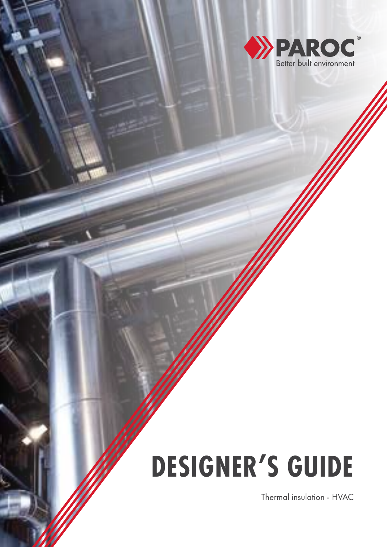

# **DESIGNER'S GUIDE**

Thermal insulation - HVAC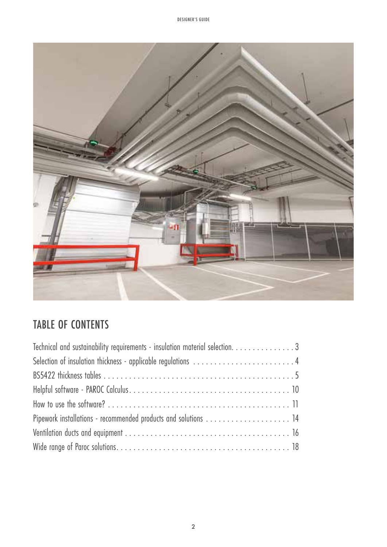

### TABLE OF CONTENTS

| Technical and sustainability requirements - insulation material selection. 3 |  |
|------------------------------------------------------------------------------|--|
| Selection of insulation thickness - applicable regulations 4                 |  |
|                                                                              |  |
|                                                                              |  |
|                                                                              |  |
| Pipework installations - recommended products and solutions  14              |  |
|                                                                              |  |
|                                                                              |  |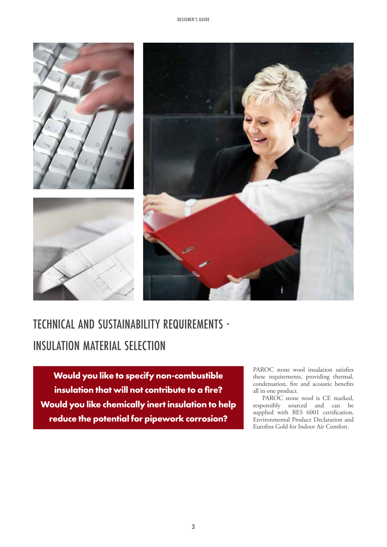





# TECHNICAL AND SUSTAINABILITY REQUIREMENTS - INSULATION MATERIAL SELECTION

**Would you like to specify non-combustible insulation that will not contribute to a fire? Would you like chemically inert insulation to help reduce the potential for pipework corrosion?**

PAROC stone wool insulation satisfies these requirements, providing thermal, condensation, fire and acoustic benefits all in one product.

PAROC stone wool is CE marked, responsibly sourced and can be supplied with BES 6001 certification, Environmental Product Declaration and Eurofins Gold for Indoor Air Comfort.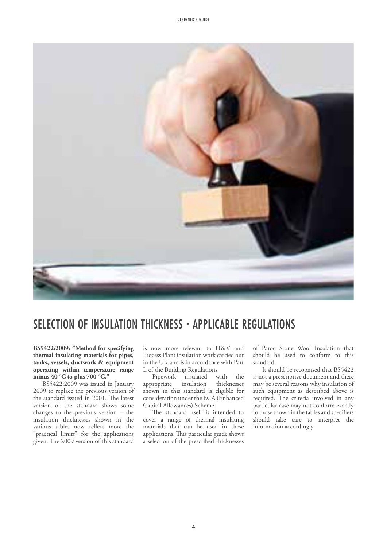

### SELECTION OF INSULATION THICKNESS - APPLICABLE REGULATIONS

**BS5422:2009: "Method for specifying thermal insulating materials for pipes, tanks, vessels, ductwork & equipment operating within temperature range minus 40 °C to plus 700 °C."** 

BS5422:2009 was issued in January 2009 to replace the previous version of the standard issued in 2001. The latest version of the standard shows some changes to the previous version – the insulation thicknesses shown in the various tables now reflect more the "practical limits" for the applications given. The 2009 version of this standard

is now more relevant to H&V and Process Plant insulation work carried out in the UK and is in accordance with Part L of the Building Regulations.

Pipework insulated with the<br>propriate insulation thicknesses appropriate shown in this standard is eligible for consideration under the ECA (Enhanced Capital Allowances) Scheme.

The standard itself is intended to cover a range of thermal insulating materials that can be used in these applications. This particular guide shows a selection of the prescribed thicknesses of Paroc Stone Wool Insulation that should be used to conform to this standard.

It should be recognised that BS5422 is not a prescriptive document and there may be several reasons why insulation of such equipment as described above is required. The criteria involved in any particular case may not conform exactly to those shown in the tables and specifiers should take care to interpret the information accordingly.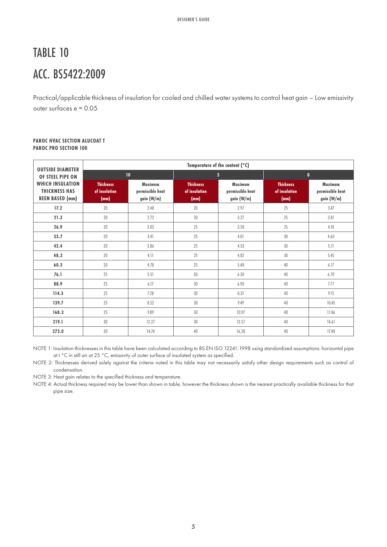# TABLE 10 ACC. BS5422:2009

Practical/applicable thickness of insulation for cooled and chilled water systems to control heat gain – Low emissivity outer surfaces e = 0.05

#### **PAROC HVAC SECTION ALUCOAT T PAROC PRO SECTION 100**

| <b>OUTSIDE DIAMETER</b>                                                   | Temperature of the content (°C)           |                                                  |                                           |                                                  |                                           |                                                  |  |
|---------------------------------------------------------------------------|-------------------------------------------|--------------------------------------------------|-------------------------------------------|--------------------------------------------------|-------------------------------------------|--------------------------------------------------|--|
| OF STEEL PIPE ON                                                          | 10 <sup>°</sup>                           |                                                  |                                           | 5 <sup>5</sup>                                   |                                           | $\mathbf{0}$                                     |  |
| <b>WHICH INSULATION</b><br><b>THICKNESS HAS</b><br><b>BEEN BASED (mm)</b> | <b>Thickness</b><br>of insulation<br>(mm) | <b>Maximum</b><br>permissible heat<br>gain (W/m) | <b>Thickness</b><br>of insulation<br>(mm) | <b>Maximum</b><br>permissible heat<br>gain (W/m) | <b>Thickness</b><br>of insulation<br>(mm) | <b>Maximum</b><br>permissible heat<br>gain (W/m) |  |
| 17.2                                                                      | 20                                        | 2.48                                             | 20                                        | 2.97                                             | 25                                        | 3.47                                             |  |
| 21.3                                                                      | 20                                        | 2.72                                             | 20                                        | 3.27                                             | 25                                        | 3.81                                             |  |
| 26.9                                                                      | 20                                        | 3.05                                             | 25                                        | 3.58                                             | 25                                        | 4.18                                             |  |
| 33.7                                                                      | 20                                        | 3.41                                             | 25                                        | 4.01                                             | 30                                        | 4.60                                             |  |
| 42.4                                                                      | 20                                        | 3.86                                             | 25                                        | 4.53                                             | 30                                        | 5.11                                             |  |
| 48.3                                                                      | 20                                        | 4.11                                             | 25                                        | 4.82                                             | 30                                        | 5.45                                             |  |
| 60.3                                                                      | 20                                        | 4.78                                             | 25                                        | 5.48                                             | 40                                        | 6.17                                             |  |
| 76.1                                                                      | 25                                        | 5.51                                             | 30                                        | 6.30                                             | 40                                        | 6.70                                             |  |
| 88.9                                                                      | 25                                        | 6.17                                             | 30                                        | 6.90                                             | 40                                        | 7.77                                             |  |
| 114.3                                                                     | 25                                        | 7.28                                             | 30                                        | 8.31                                             | 40                                        | 9.15                                             |  |
| 139.7                                                                     | 25                                        | 8.52                                             | 30                                        | 9.49                                             | 40                                        | 10.45                                            |  |
| 168.3                                                                     | 25                                        | 9.89                                             | 30                                        | 10.97                                            | 40                                        | 11.86                                            |  |
| 219.1                                                                     | 30                                        | 12.27                                            | 30                                        | 13.57                                            | 40                                        | 14.61                                            |  |
| 273.0                                                                     | 30                                        | 14.74                                            | 40                                        | 16.28                                            | 40                                        | 17.48                                            |  |

NOTE 1: Insulation thicknesses in this table have been calculated according to BS EN ISO 12241:1998 using standardized assumptions: horizontal pipe at t °C in still air at 25 °C, emissivity of outer surface of insulated system as specified.

NOTE 2: Thicknesses derived solely against the criteria noted in this table may not necessarily satisfy other design requirements such as control of condensation.

NOTE 3: Heat gain relates to the specified thickness and temperature.

NOTE 4: Actual thickness required may be lower than shown in table, however the thickness shown is the nearest practically available thickness for that pipe size.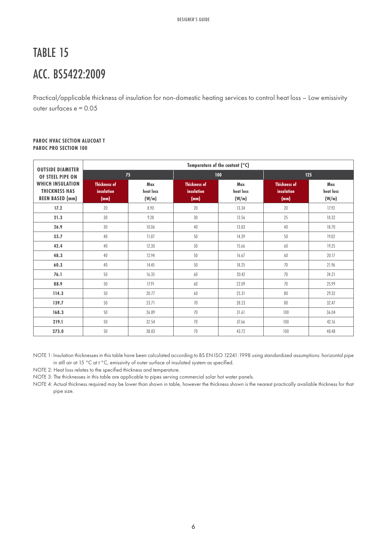# TABLE 15 ACC. BS5422:2009

Practical/applicable thickness of insulation for non-domestic heating services to control heat loss – Low emissivity outer surfaces e = 0.05

#### **PAROC HVAC SECTION ALUCOAT T PAROC PRO SECTION 100**

| <b>OUTSIDE DIAMETER</b>                                                   |                                           |                           | Temperature of the content (°C)           |                           |                                           |                           |  |
|---------------------------------------------------------------------------|-------------------------------------------|---------------------------|-------------------------------------------|---------------------------|-------------------------------------------|---------------------------|--|
| OF STEEL PIPE ON                                                          |                                           | 75                        | 100                                       |                           |                                           | 125                       |  |
| <b>WHICH INSULATION</b><br><b>THICKNESS HAS</b><br><b>BEEN BASED (mm)</b> | <b>Thickness of</b><br>insulation<br>(mm) | Max<br>heat loss<br>(W/m) | <b>Thickness of</b><br>insulation<br>(mm) | Max<br>heat loss<br>(W/m) | <b>Thickness of</b><br>insulation<br>(mm) | Max<br>heat loss<br>(W/m) |  |
| 17.2                                                                      | 20                                        | 8.90                      | 20                                        | 13.34                     | 20                                        | 17.92                     |  |
| 21.3                                                                      | 30                                        | 9.28                      | 30                                        | 13.56                     | 25                                        | 18.32                     |  |
| 26.9                                                                      | 30                                        | 10.06                     | 40                                        | 13.83                     | 40                                        | 18.70                     |  |
| 33.7                                                                      | 40                                        | 11.07                     | 50                                        | 14.39                     | 50                                        | 19.02                     |  |
| 42.4                                                                      | 40                                        | 12.30                     | 50                                        | 15.66                     | 60                                        | 19.25                     |  |
| 48.3                                                                      | 40                                        | 12.94                     | 50                                        | 16.67                     | 60                                        | 20.17                     |  |
| 60.3                                                                      | 40                                        | 14.45                     | 50                                        | 18.25                     | 70                                        | 21.96                     |  |
| 76.1                                                                      | 50                                        | 16.35                     | 60                                        | 20.42                     | 70                                        | 24.21                     |  |
| 88.9                                                                      | 50                                        | 17.91                     | 60                                        | 22.09                     | 70                                        | 25.99                     |  |
| 114.3                                                                     | 50                                        | 20.77                     | 60                                        | 25.31                     | 80                                        | 29.32                     |  |
| 139.7                                                                     | 50                                        | 23.71                     | 70                                        | 28.23                     | 80                                        | 32.47                     |  |
| 168.3                                                                     | 50                                        | 26.89                     | 70                                        | 31.61                     | 100                                       | 36.04                     |  |
| 219.1                                                                     | 50                                        | 32.54                     | 70                                        | 37.66                     | 100                                       | 42.16                     |  |
| 273.0                                                                     | 50                                        | 38.83                     | 70                                        | 43.72                     | 100                                       | 48.48                     |  |

NOTE 1: Insulation thicknesses in this table have been calculated according to BS EN ISO 12241:1998 using standardized assumptions: horizontal pipe in still air at 15 °C at t °C, emissivity of outer surface of insulated system as specified.

NOTE 2: Heat loss relates to the specified thickness and temperature.

NOTE 3: The thicknesses in this table are applicable to pipes serving commercial solar hot water panels.

NOTE 4: Actual thickness required may be lower than shown in table, however the thickness shown is the nearest practically available thickness for that pipe size.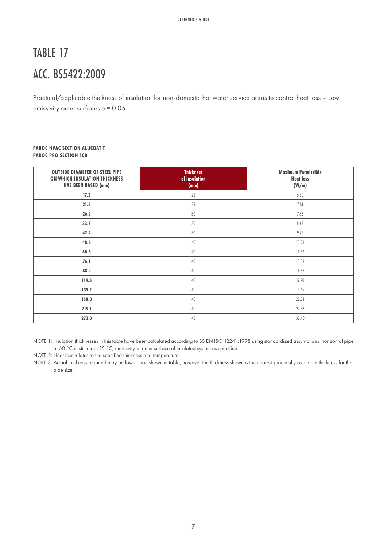# TABLE 17 ACC. BS5422:2009

Practical/applicable thickness of insulation for non-domestic hot water service areas to control heat loss – Low emissivity outer surfaces e = 0.05

### **PAROC HVAC SECTION ALUCOAT T PAROC PRO SECTION 100**

| <b>OUTSIDE DIAMETER OF STEEL PIPE</b><br>ON WHICH INSULATION THICKNESS<br><b>HAS BEEN BASED (mm)</b> | <b>Thickness</b><br>of insulation<br>(mm) | <b>Maximum Permissible</b><br><b>Heat loss</b><br>(W/m) |
|------------------------------------------------------------------------------------------------------|-------------------------------------------|---------------------------------------------------------|
| 17.2                                                                                                 | 25                                        | 6.60                                                    |
| 21.3                                                                                                 | 25                                        | 7.13                                                    |
| 26.9                                                                                                 | 30                                        | 7.83                                                    |
| 33.7                                                                                                 | 30                                        | 8.62                                                    |
| 42.4                                                                                                 | 30                                        | 9.72                                                    |
| 48.3                                                                                                 | 40                                        | 10.21                                                   |
| 60.3                                                                                                 | 40                                        | 11.57                                                   |
| 76.1                                                                                                 | 40                                        | 13.09                                                   |
| 88.9                                                                                                 | 40                                        | 14.58                                                   |
| 114.3                                                                                                | 40                                        | 17.20                                                   |
| 139.7                                                                                                | 40                                        | 19.65                                                   |
| 168.3                                                                                                | 40                                        | 22.31                                                   |
| 219.1                                                                                                | 40                                        | 27.52                                                   |
| 273.0                                                                                                | 40                                        | 32.40                                                   |

NOTE 1: Insulation thicknesses in this table have been calculated according to BS EN ISO 12241:1998 using standardized assumptions: horizontal pipe at 60 °C in still air at 15 °C, emissivity of outer surface of insulated system as specified.

NOTE 2: Heat loss relates to the specified thickness and temperature.

NOTE 3: Actual thickness required may be lower than shown in table, however the thickness shown is the nearest practically available thickness for that pipe size.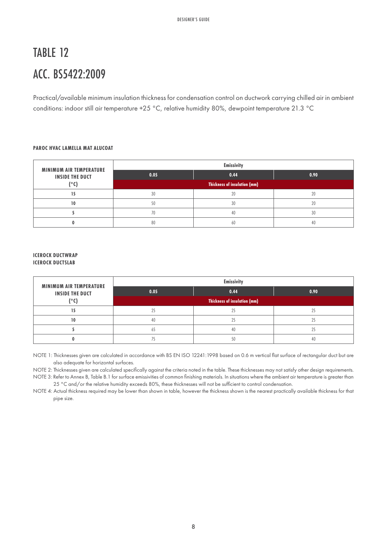# TABLE 12 ACC. BS5422:2009

Practical/available minimum insulation thickness for condensation control on ductwork carrying chilled air in ambient conditions: indoor still air temperature +25 °C, relative humidity 80%, dewpoint temperature 21.3 °C

### **PAROC HVAC LAMELLA MAT ALUCOAT**

| <b>MINIMUM AIR TEMPERATURE</b> | <b>Emissivity</b>            |                |      |  |  |
|--------------------------------|------------------------------|----------------|------|--|--|
| <b>INSIDE THE DUCT</b>         | 0.05                         | 0.44           | 0.90 |  |  |
| ior                            | Thickness of insulation (mm) |                |      |  |  |
|                                | 30                           | $\overline{2}$ |      |  |  |
| 10                             | 50                           | 30             |      |  |  |
|                                |                              | 4(             | 30   |  |  |
|                                | 80                           | 60             |      |  |  |

#### **ICEROCK DUCTWRAP ICEROCK DUCTSLAB**

| <b>MINIMUM AIR TEMPERATURE</b>         |                                     | <b>Emissivity</b> |      |  |
|----------------------------------------|-------------------------------------|-------------------|------|--|
| <b>INSIDE THE DUCT</b><br>$\mathbf{C}$ | 0.05                                | 0.44              | 0.90 |  |
|                                        | <b>Thickness of insulation (mm)</b> |                   |      |  |
|                                        |                                     | $^{\circ}$        |      |  |
| 10                                     | 40                                  | $^{\circ}$        |      |  |
|                                        |                                     | 40                |      |  |
|                                        |                                     |                   |      |  |

NOTE 1: Thicknesses given are calculated in accordance with BS EN ISO 12241:1998 based on 0.6 m vertical flat surface of rectangular duct but are also adequate for horizontal surfaces.

NOTE 2: Thicknesses given are calculated specifically against the criteria noted in the table. These thicknesses may not satisfy other design requirements.

NOTE 3: Refer to Annex B, Table B.1 for surface emissivities of common finishing materials. In situations where the ambient air temperature is greater than 25 °C and/or the relative humidity exceeds 80%, these thicknesses will not be sufficient to control condensation.

NOTE 4: Actual thickness required may be lower than shown in table, however the thickness shown is the nearest practically available thickness for that pipe size.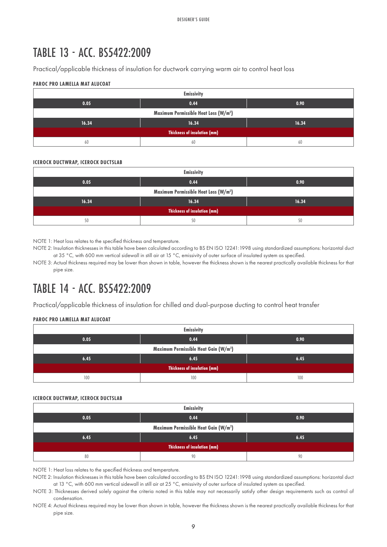### TABLE 13 - ACC. BS5422:2009

Practical/applicable thickness of insulation for ductwork carrying warm air to control heat loss

### **PAROC PRO LAMELLA MAT ALUCOAT**

|                                     | <b>Emissivity</b>                                 |       |  |  |  |
|-------------------------------------|---------------------------------------------------|-------|--|--|--|
| 0.05                                | 0.44                                              | 0.90  |  |  |  |
|                                     | Maximum Permissible Heat Loss (W/m <sup>2</sup> ) |       |  |  |  |
| 16.34                               | 16.34                                             | 16.34 |  |  |  |
| <b>Thickness of insulation (mm)</b> |                                                   |       |  |  |  |
| 60                                  | 60                                                | 60    |  |  |  |

#### **ICEROCK DUCTWRAP, ICEROCK DUCTSLAB**

| <b>Emissivity</b>                                 |       |       |  |  |  |
|---------------------------------------------------|-------|-------|--|--|--|
| 0.05                                              | 0.44  | 0.90  |  |  |  |
| Maximum Permissible Heat Loss (W/m <sup>2</sup> ) |       |       |  |  |  |
| 16.34                                             | 16.34 | 16.34 |  |  |  |
| <b>Thickness of insulation (mm)</b>               |       |       |  |  |  |
| 50                                                | 50    | 50    |  |  |  |

NOTE 1: Heat loss relates to the specified thickness and temperature.

NOTE 2: Insulation thicknesses in this table have been calculated according to BS EN ISO 12241:1998 using standardized assumptions: horizontal duct at 35 °C, with 600 mm vertical sidewall in still air at 15 °C, emissivity of outer surface of insulated system as specified.

NOTE 3: Actual thickness required may be lower than shown in table, however the thickness shown is the nearest practically available thickness for that pipe size.

### TABLE 14 - ACC. BS5422:2009

Practical/applicable thickness of insulation for chilled and dual-purpose ducting to control heat transfer

### **PAROC PRO LAMELLA MAT ALUCOAT**

| <b>Emissivity</b>                                 |      |      |  |  |  |
|---------------------------------------------------|------|------|--|--|--|
| 0.05                                              | 0.44 | 0.90 |  |  |  |
| Maximum Permissible Heat Gain (W/m <sup>2</sup> ) |      |      |  |  |  |
| 6.45                                              | 6.45 | 6.45 |  |  |  |
| <b>Thickness of insulation (mm)</b>               |      |      |  |  |  |
| 100                                               | 100  | 100  |  |  |  |

#### **ICEROCK DUCTWRAP, ICEROCK DUCTSLAB**

| <b>Emissivity</b>                   |                                                   |      |  |  |  |
|-------------------------------------|---------------------------------------------------|------|--|--|--|
| 0.05                                | 0.44                                              | 0.90 |  |  |  |
|                                     | Maximum Permissible Heat Gain (W/m <sup>2</sup> ) |      |  |  |  |
| 6.45                                | 6.45                                              | 6.45 |  |  |  |
| <b>Thickness of insulation (mm)</b> |                                                   |      |  |  |  |
| 80                                  | 90                                                | 90   |  |  |  |

NOTE 1: Heat loss relates to the specified thickness and temperature.

NOTE 2: Insulation thicknesses in this table have been calculated according to BS EN ISO 12241:1998 using standardized assumptions: horizontal duct at 13 °C, with 600 mm vertical sidewall in still air at 25 °C, emissivity of outer surface of insulated system as specified.

NOTE 3: Thicknesses derived solely against the criteria noted in this table may not necessarily satisfy other design requirements such as control of condensation.

NOTE 4: Actual thickness required may be lower than shown in table, however the thickness shown is the nearest practically available thickness for that pipe size.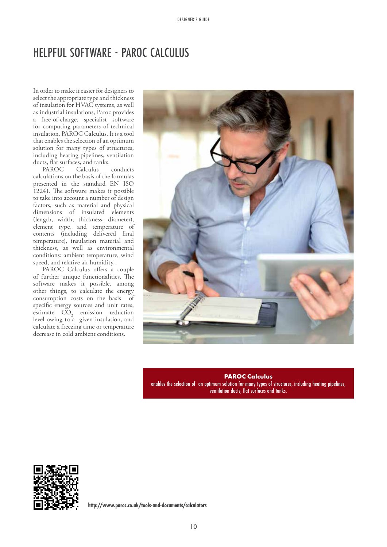### HELPFUL SOFTWARE - PAROC CALCULUS

In order to make it easier for designers to select the appropriate type and thickness of insulation for HVAC systems, as well as industrial insulations, Paroc provides a free-of-charge, specialist software for computing parameters of technical insulation, PAROC Calculus. It is a tool that enables the selection of an optimum solution for many types of structures, including heating pipelines, ventilation ducts, flat surfaces, and tanks.<br>PAROC Calculus

Calculus conducts calculations on the basis of the formulas presented in the standard EN ISO 12241. The software makes it possible to take into account a number of design factors, such as material and physical dimensions of insulated elements (length, width, thickness, diameter), element type, and temperature of contents (including delivered final temperature), insulation material and thickness, as well as environmental conditions: ambient temperature, wind speed, and relative air humidity.

PAROC Calculus offers a couple of further unique functionalities. The software makes it possible, among other things, to calculate the energy consumption costs on the basis of specific energy sources and unit rates, estimate  $CO<sub>2</sub>$  emission reduction level owing to a given insulation, and calculate a freezing time or temperature decrease in cold ambient conditions.



**PAROC Calculus** enables the selection of an optimum solution for many types of structures, including heating pipelines, ventilation ducts, flat surfaces and tanks.



**http://www.paroc.co.uk/tools-and-documents/calculators**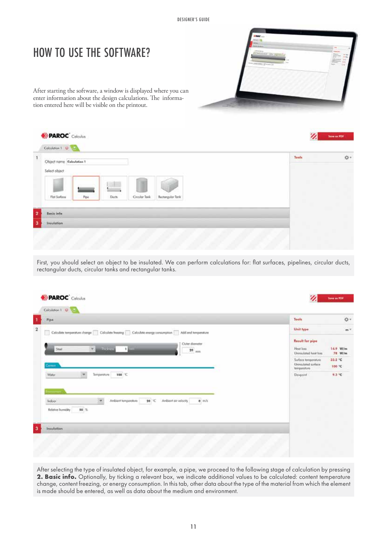### HOW TO USE THE SOFTWARE?

After starting the software, a window is displayed where you can enter information about the design calculations. The information entered here will be visible on the printout.

| Object nome Calculation 1 |      |      |              |                  | Tools<br><b>STARR</b> |
|---------------------------|------|------|--------------|------------------|-----------------------|
| Select object             |      |      |              |                  |                       |
|                           |      | v.H  |              |                  |                       |
| Flat Surface              | Pipe | Duch | Craylar Tank | Rectangular Tonk |                       |
|                           |      |      |              |                  |                       |
| <b>Basic info</b>         |      |      |              |                  |                       |
| Inculation                |      |      |              |                  |                       |

First, you should select an object to be insulated. We can perform calculations for: flat surfaces, pipelines, circular ducts, rectangular ducts, circular tanks and rectangular tanks.

| Pipe.                                                                                            | Tools                                                        | o.                 |
|--------------------------------------------------------------------------------------------------|--------------------------------------------------------------|--------------------|
| Calculate temperature change Calculate freezing Calculate energy consumption Add end temperature | Unit type                                                    | $m^{\gamma}$       |
| Outer diameter<br><b>Inches</b><br>4.1<br>Steel<br>1 8000<br>$20$ <sub>mm</sub>                  | <b>Result for pipe</b><br>Heat loss<br>Unimulated heat loss. | 14.9 W/m<br>78 W/m |
| Cernon                                                                                           | Sorface temperature<br>Univaulated surface<br>temperature    | 33.2 °C<br>100 °C  |
| Water<br>100 ℃<br>Temperature                                                                    | Devepoint<br>$-100$                                          | 9.3 °C             |
| 20 °C Ambient air valocity<br>0.10<br>Ambient temperature                                        |                                                              |                    |
| Indoor<br>$50$ %<br><b>Keletive Ikumidity</b>                                                    |                                                              |                    |
| Insulation                                                                                       |                                                              |                    |

After selecting the type of insulated object, for example, a pipe, we proceed to the following stage of calculation by pressing 2. Basic info. Optionally, by ticking a relevant box, we indicate additional values to be calculated: content temperature change, content freezing, or energy consumption. In this tab, other data about the type of the material from which the element is made should be entered, as well as data about the medium and environment.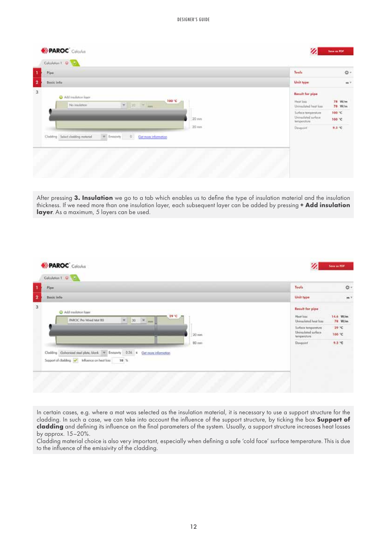| <b>Basic info</b><br>Unit type:<br><b>Result for pipe</b><br>O Additionation loyer<br>100 °C<br>Heat Toss<br>$\div$ 70 $\div$ mm<br>No insulation<br>Uninsulated heat lass<br>Surface temperature<br>Univaulated surface<br>20 mm<br>temperature | Pipe. | Tools    | ٥٠                                   |
|--------------------------------------------------------------------------------------------------------------------------------------------------------------------------------------------------------------------------------------------------|-------|----------|--------------------------------------|
|                                                                                                                                                                                                                                                  |       |          | $m +$                                |
|                                                                                                                                                                                                                                                  |       |          | 78 W/m<br>78 W/m<br>100 °C<br>100 °C |
| $\pi^-$ from<br>only<br>$Q^{\prime\prime}$<br>Clodding Select clodding restored<br>Get more information.                                                                                                                                         | 20 mm | Devgoint | 9.3 °C<br>m                          |

After pressing **3. Insulation** we go to a tab which enables us to define the type of insulation material and the insulation thickness. If we need more than one insulation layer, each subsequent layer can be added by pressing **+ Add insulation layer**. As a maximum, 5 layers can be used.

| Pipe:                                                                                                                                                | Tools                                                                                                                            | ģ.                                    |
|------------------------------------------------------------------------------------------------------------------------------------------------------|----------------------------------------------------------------------------------------------------------------------------------|---------------------------------------|
| <b>Basic info</b>                                                                                                                                    | Unit type                                                                                                                        | $m \times$                            |
| C Add insulation layer<br>29 °C =<br>$30 \times m$<br><b>PAROC</b> Pro Wired Mat 80<br>$\frac{1}{2}$<br>$20$ mm                                      | <b>Result for pipe</b><br><b>Moot loss</b><br>Uninsulated heat loss<br>Surface temperature<br>Uninsulated surface<br>temperature | 14.6 W/m<br>78 W/m<br>29 °C<br>100 °C |
| 80 mm<br>Clodding Golvanized steel plate, blank = Timisswity   0.26 = Cet more information<br>Support of cladding v Influence on heat loss<br>$10-5$ | an anna book le<br>Dowpoint<br>some                                                                                              | 9.3 °C<br>w                           |

In certain cases, e.g. where a mat was selected as the insulation material, it is necessary to use a support structure for the cladding. In such a case, we can take into account the influence of the support structure, by ticking the box **Support of cladding** and defining its influence on the final parameters of the system. Usually, a support structure increases heat losses by approx. 15–20%.

Cladding material choice is also very important, especially when defining a safe 'cold face' surface temperature. This is due to the influence of the emissivity of the cladding.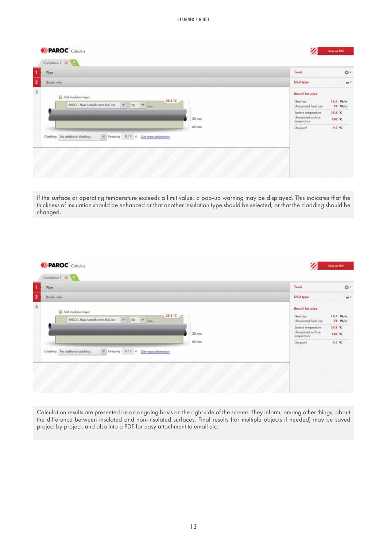| Pipe:                                                                            |                                                                                                      | Tools                                                                                                                     | o.                                      |
|----------------------------------------------------------------------------------|------------------------------------------------------------------------------------------------------|---------------------------------------------------------------------------------------------------------------------------|-----------------------------------------|
| Basic info                                                                       |                                                                                                      | Unit type                                                                                                                 | $m^{\gamma}$                            |
| Add insulation layer<br>INROC Hyac Lamella Mot AluCoot                           | 35.8 °C<br>$\begin{array}{c cc} \text{\#} & \text{20} & \text{\#} & \text{mm} \end{array}$<br>20 min | <b>Result for pipe</b><br>Heat loss<br>Uninsulated heat loss<br>Sorface temperature<br>Uninsulated surface<br>temperature | 18.4 W/m<br>78 W/m<br>35.8 °C<br>100.10 |
| $\neq$ Envisivity 0.15 € Get more information<br>Cladding No additional cladding | Devpoint                                                                                             | 9.3 °C                                                                                                                    |                                         |

If the surface or operating temperature exceeds a limit value, a pop-up warning may be displayed. This indicates that the thickness of insulation should be enhanced or that another insulation type should be selected, or that the cladding should be changed.

| Basic info<br>Unit type<br><b>Result for pipe</b><br>C Add insulation layer<br>35.8 °C<br>Heat loss<br>$20 \quad \boxed{\textcolor{red}{\forall}} \textcolor{red}{\textcolor{blue}{\textcolor{blue}{\textbf{min}}}}$<br>IWKOC Hvoc Lamella Mot AluCoot<br>÷.<br>Uninsulated heat loss<br>Sorface temperature<br>Uninsulated surface<br>20 min<br>temperature<br>$60 \text{ mm}$<br>Devpoint | Pipe: |  | <b>Tools</b>     | ğ.                            |
|---------------------------------------------------------------------------------------------------------------------------------------------------------------------------------------------------------------------------------------------------------------------------------------------------------------------------------------------------------------------------------------------|-------|--|------------------|-------------------------------|
|                                                                                                                                                                                                                                                                                                                                                                                             |       |  |                  |                               |
|                                                                                                                                                                                                                                                                                                                                                                                             |       |  |                  | 18.4 W/m<br>78 W/m<br>35.8 °C |
| $\rightarrow$<br>Enrissivity 0.15 E Get more information<br>Clodding No additional clodding                                                                                                                                                                                                                                                                                                 |       |  | 100 °C<br>9.3 °C |                               |

Calculation results are presented on an ongoing basis on the right side of the screen. They inform, among other things, about the difference between insulated and non-insulated surfaces. Final results (for multiple objects if needed) may be saved project by project, and also into a PDF for easy attachment to email etc.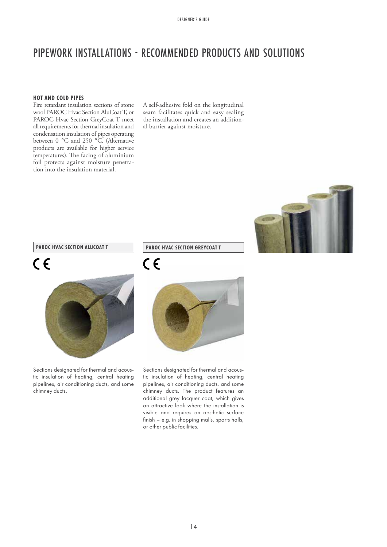### PIPEWORK INSTALLATIONS - RECOMMENDED PRODUCTS AND SOLUTIONS

### **HOT AND COLD PIPES**

Fire retardant insulation sections of stone wool PAROC Hvac Section AluCoat T, or PAROC Hvac Section GreyCoat T meet all requirements for thermal insulation and condensation insulation of pipes operating between 0 °C and 250 °C. (Alternative products are available for higher service temperatures). The facing of aluminium foil protects against moisture penetration into the insulation material.

A self-adhesive fold on the longitudinal seam facilitates quick and easy sealing the installation and creates an additional barrier against moisture.



### **PAROC HVAC SECTION ALUCOAT T**

## $C \in$



Sections designated for thermal and acoustic insulation of heating, central heating pipelines, air conditioning ducts, and some chimney ducts.

### **PAROC HVAC SECTION GREYCOAT T**





Sections designated for thermal and acoustic insulation of heating, central heating pipelines, air conditioning ducts, and some chimney ducts. The product features an additional grey lacquer coat, which gives an attractive look where the installation is visible and requires an aesthetic surface finish – e.g. in shopping malls, sports halls, or other public facilities.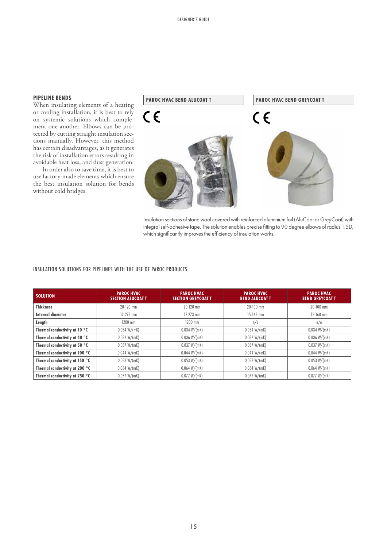### **PIPELINE BENDS**

When insulating elements of a heating or cooling installation, it is best to rely on systemic solutions which complement one another. Elbows can be protected by cutting straight insulation sections manually. However, this method has certain disadvantages, as it generates the risk of installation errors resulting in avoidable heat loss, and dust generation.

In order also to save time, it is best to use factory-made elements which ensure the best insulation solution for bends without cold bridges.



Insulation sections of stone wool covered with reinforced aluminium foil (AluCoat or GreyCoat) with integral self-adhesive tape. The solution enables precise fitting to 90 degree elbows of radius 1.5D, which significantly improves the efficiency of insulation works.

#### INSULATION SOLUTIONS FOR PIPELINES WITH THE USE OF PAROC PRODUCTS

| <b>SOLUTION</b>                | <b>PAROC HVAC</b><br><b>SECTION ALUCOAT T</b> | <b>PAROC HVAC</b><br><b>SECTION GREYCOAT T</b> | <b>PAROC HVAC</b><br><b>BEND ALUCOAT T</b> | <b>PAROC HVAC</b><br><b>BEND GREYCOAT T</b> |
|--------------------------------|-----------------------------------------------|------------------------------------------------|--------------------------------------------|---------------------------------------------|
| <b>Thickness</b>               | $20 - 120$ mm                                 | $20 - 120$ mm                                  | $20 - 100$ mm                              | $20 - 100$ mm                               |
| Internal diameter              | $12 - 273$ mm                                 | $12 - 273$ mm                                  | $15 - 168$ mm                              | 15-168 mm                                   |
| Length                         | 1200 mm                                       | 1200 mm                                        | n/a                                        | n/a                                         |
| Thermal conductivity at 10 °C  | 0.034 W/(mK)                                  | 0.034 W/(mK)                                   | 0.034 W/(mK)                               | 0.034 W/(mK)                                |
| Thermal conductivity at 40 °C  | 0.036 W/(mK)                                  | 0.036 W/(mK)                                   | 0.036 W/(mK)                               | 0.036 W/(mK)                                |
| Thermal conductivity at 50 °C  | 0.037 W/(mK)                                  | 0.037 W/(mK)                                   | 0.037 W/(mK)                               | 0.037 W/(mK)                                |
| Thermal conductivity at 100 °C | 0.044 W/(mK)                                  | 0.044 W/(mK)                                   | 0.044 W/(mK)                               | 0.044 W/(mK)                                |
| Thermal conductivity at 150 °C | 0.053 W/(mK)                                  | 0.053 W/(mK)                                   | 0.053 W/(mK)                               | 0.053 W/(mK)                                |
| Thermal conductivity at 200 °C | 0.064 W/(mK)                                  | 0.064 W/(mK)                                   | 0.064 W/(mK)                               | 0.064 W/(mK)                                |
| Thermal conductivity at 250 °C | 0.077 W/(mK)                                  | 0.077 W/(mK)                                   | 0.077 W/(mK)                               | 0.077 W/(mK)                                |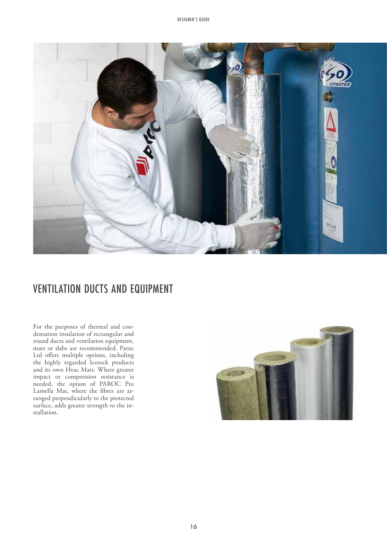

### VENTILATION DUCTS AND EQUIPMENT

For the purposes of thermal and condensation insulation of rectangular and round ducts and ventilation equipment, mats or slabs are recommended. Paroc Ltd offers multiple options, including the highly regarded Icerock products and its own Hvac Mats. Where greater impact or compression resistance is needed, the option of PAROC Pro Lamella Mat, where the fibres are arranged perpendicularly to the protected surface, adds greater strength to the installation.

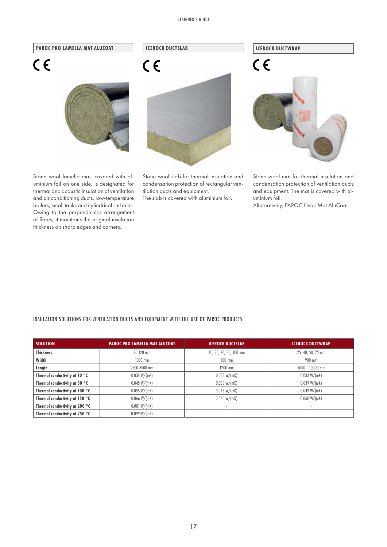#### DESIGNER'S GUIDE



Stone wool lamella mat, covered with aluminium foil on one side, is designated for thermal and acoustic insulation of ventilation and air conditioning ducts, low-temperature boilers, small tanks and cylindrical surfaces. Owing to the perpendicular arrangement of fibres, it maintains the original insulation thickness on sharp edges and corners.

Stone wool slab for thermal insulation and condensation protection of rectangular ventilation ducts and equipment.

The slab is covered with aluminium foil.

Stone wool mat for thermal insulation and condensation protection of ventilation ducts

and equipment. The mat is covered with aluminium foil.

Alternatively, PAROC Hvac Mat AluCoat.

### INSULATION SOLUTIONS FOR VENTILATION DUCTS AND EQUIPMENT WITH THE USE OF PAROC PRODUCTS

| <b>SOLUTION</b>                | <b>PAROC PRO LAMELLA MAT ALUCOAT</b> | <b>ICEROCK DUCTSLAB</b>  | <b>ICEROCK DUCTWRAP</b>  |
|--------------------------------|--------------------------------------|--------------------------|--------------------------|
| <b>Thickness</b>               | $20 - 120$ mm                        | 40, 50, 60, 80, 100 mm   | 25, 40, 50, 75 mm        |
| Width                          | $1000$ mm                            | 600 mm                   | 900 mm                   |
| Length                         | 2500-8000 mm                         | $1200$ mm                | $5000 - 10000$ mm        |
| Thermal conductivity at 10 °C  | 0.039 W/(mK)                         | 0.035 W/(mK)             | 0.033 W/(mK)             |
| Thermal conductivity at 50 °C  | 0.045 W/(mK)                         | 0.039 W/(mK)             | 0.039 W/(mK)             |
| Thermal conductivity at 100 °C | 0.055 W/(mK)                         | 0.048 W/(mK)             | 0.049 W/(mK)             |
| Thermal conductivity at 150 °C | 0.066 W/(mK)                         | 0.060 W/(mK)             | 0.060 W/(mK)             |
| Thermal conductivity at 200 °C | 0.081 W/(mK)                         | $\overline{\phantom{a}}$ | $\overline{\phantom{a}}$ |
| Thermal conductivity at 250 °C | 0.099 W/(mK)                         |                          |                          |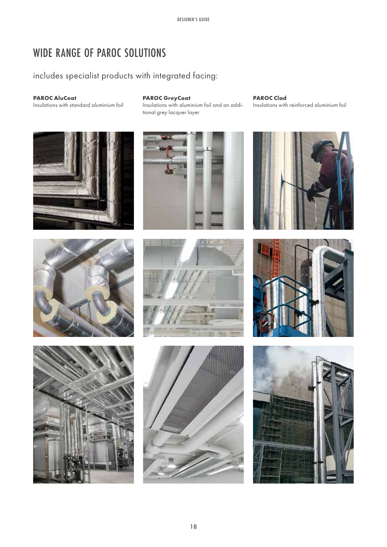### WIDE RANGE OF PAROC SOLUTIONS

### includes specialist products with integrated facing:

### **PAROC AluCoat**

Insulations with standard aluminium foil

### **PAROC GreyCoat**

Insulations with aluminium foil and an additional grey lacquer layer

**PAROC Clad** Insulations with reinforced aluminium foil

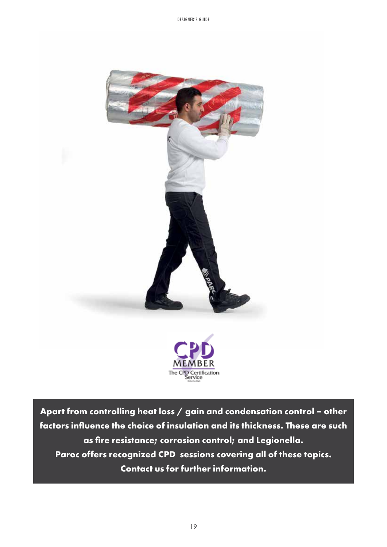

**Apart from controlling heat loss / gain and condensation control – other factors influence the choice of insulation and its thickness. These are such as fire resistance; corrosion control; and Legionella. Paroc offers recognized CPD sessions covering all of these topics. Contact us for further information.**